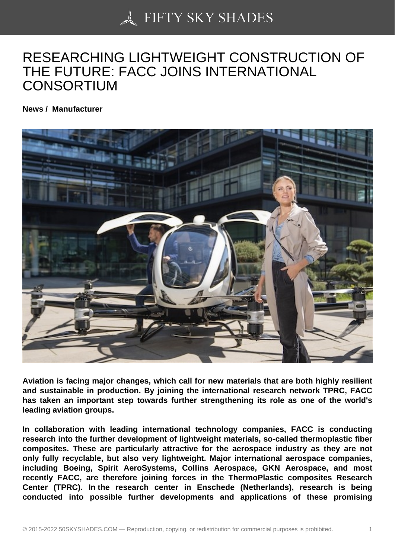## [RESEARCHING LIGHT](https://50skyshades.com)WEIGHT CONSTRUCTION OF THE FUTURE: FACC JOINS INTERNATIONAL CONSORTIUM

News / Manufacturer

Aviation is facing major changes, which call for new materials that are both highly resilient and sustainable in production. By joining the international research network TPRC, FACC has taken an important step towards further strengthening its role as one of the world's leading aviation groups.

In collaboration with leading international technology companies, FACC is conducting research into the further development of lightweight materials, so-called thermoplastic fiber composites. These are particularly attractive for the aerospace industry as they are not only fully recyclable, but also very lightweight. Major international aerospace companies, including Boeing, Spirit AeroSystems, Collins Aerospace, GKN Aerospace, and most recently FACC, are therefore joining forces in the ThermoPlastic composites Research Center (TPRC). In the research center in Enschede (Netherlands), research is being conducted into possible further developments and applications of these promising